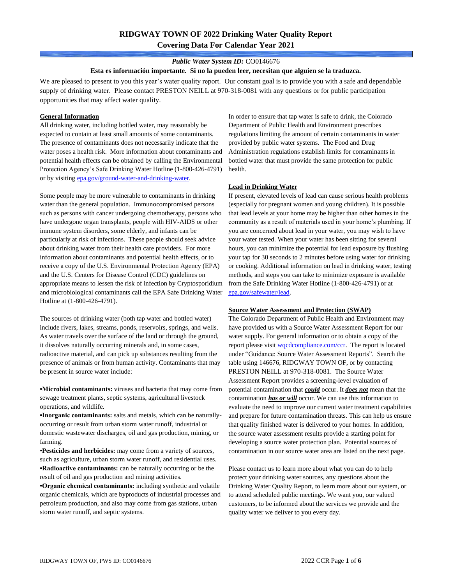# **RIDGWAY TOWN OF 2022 Drinking Water Quality Report Covering Data For Calendar Year 2021**

### *Public Water System ID:* CO0146676

#### **Esta es información importante. Si no la pueden leer, necesitan que alguien se la traduzca.**

We are pleased to present to you this year's water quality report. Our constant goal is to provide you with a safe and dependable supply of drinking water. Please contact PRESTON NEILL at 970-318-0081 with any questions or for public participation opportunities that may affect water quality.

#### **General Information**

All drinking water, including bottled water, may reasonably be expected to contain at least small amounts of some contaminants. The presence of contaminants does not necessarily indicate that the water poses a health risk. More information about contaminants and potential health effects can be obtained by calling the Environmental Protection Agency's Safe Drinking Water Hotline (1-800-426-4791) or by visiting [epa.gov/ground-water-and-drinking-water.](https://www.epa.gov/ground-water-and-drinking-water)

Some people may be more vulnerable to contaminants in drinking water than the general population. Immunocompromised persons such as persons with cancer undergoing chemotherapy, persons who have undergone organ transplants, people with HIV-AIDS or other immune system disorders, some elderly, and infants can be particularly at risk of infections. These people should seek advice about drinking water from their health care providers. For more information about contaminants and potential health effects, or to receive a copy of the U.S. Environmental Protection Agency (EPA) and the U.S. Centers for Disease Control (CDC) guidelines on appropriate means to lessen the risk of infection by Cryptosporidium and microbiological contaminants call the EPA Safe Drinking Water Hotline at (1-800-426-4791).

The sources of drinking water (both tap water and bottled water) include rivers, lakes, streams, ponds, reservoirs, springs, and wells. As water travels over the surface of the land or through the ground, it dissolves naturally occurring minerals and, in some cases, radioactive material, and can pick up substances resulting from the presence of animals or from human activity. Contaminants that may be present in source water include:

**•Microbial contaminants:** viruses and bacteria that may come from sewage treatment plants, septic systems, agricultural livestock operations, and wildlife.

**•Inorganic contaminants:** salts and metals, which can be naturallyoccurring or result from urban storm water runoff, industrial or domestic wastewater discharges, oil and gas production, mining, or farming.

•**Pesticides and herbicides:** may come from a variety of sources, such as agriculture, urban storm water runoff, and residential uses. **•Radioactive contaminants:** can be naturally occurring or be the result of oil and gas production and mining activities.

**•Organic chemical contaminants:** including synthetic and volatile organic chemicals, which are byproducts of industrial processes and petroleum production, and also may come from gas stations, urban storm water runoff, and septic systems.

In order to ensure that tap water is safe to drink, the Colorado Department of Public Health and Environment prescribes regulations limiting the amount of certain contaminants in water provided by public water systems. The Food and Drug Administration regulations establish limits for contaminants in bottled water that must provide the same protection for public health.

### **Lead in Drinking Water**

If present, elevated levels of lead can cause serious health problems (especially for pregnant women and young children). It is possible that lead levels at your home may be higher than other homes in the community as a result of materials used in your home's plumbing. If you are concerned about lead in your water, you may wish to have your water tested. When your water has been sitting for several hours, you can minimize the potential for lead exposure by flushing your tap for 30 seconds to 2 minutes before using water for drinking or cooking. Additional information on lead in drinking water, testing methods, and steps you can take to minimize exposure is available from the Safe Drinking Water Hotline (1-800-426-4791) or at [epa.gov/safewater/lead.](http://www.epa.gov/safewater/lead) 

### **Source Water Assessment and Protection (SWAP)**

The Colorado Department of Public Health and Environment may have provided us with a Source Water Assessment Report for our water supply. For general information or to obtain a copy of the report please visit [wqcdcompliance.com/ccr.](https://wqcdcompliance.com/ccr) The report is located under "Guidance: Source Water Assessment Reports". Search the table using 146676, RIDGWAY TOWN OF, or by contacting PRESTON NEILL at 970-318-0081. The Source Water Assessment Report provides a screening-level evaluation of potential contamination that *could* occur. It *does not* mean that the contamination *has or will* occur. We can use this information to evaluate the need to improve our current water treatment capabilities and prepare for future contamination threats. This can help us ensure that quality finished water is delivered to your homes. In addition, the source water assessment results provide a starting point for developing a source water protection plan. Potential sources of contamination in our source water area are listed on the next page.

Please contact us to learn more about what you can do to help protect your drinking water sources, any questions about the Drinking Water Quality Report, to learn more about our system, or to attend scheduled public meetings. We want you, our valued customers, to be informed about the services we provide and the quality water we deliver to you every day.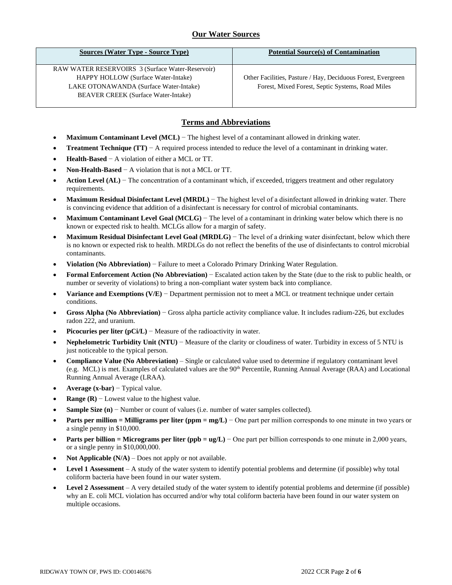# **Our Water Sources**

| <b>Sources (Water Type - Source Type)</b>                                                                                                                                       | <b>Potential Source(s) of Contamination</b>                                                                      |
|---------------------------------------------------------------------------------------------------------------------------------------------------------------------------------|------------------------------------------------------------------------------------------------------------------|
| RAW WATER RESERVOIRS 3 (Surface Water-Reservoir)<br>HAPPY HOLLOW (Surface Water-Intake)<br>LAKE OTONAWANDA (Surface Water-Intake)<br><b>BEAVER CREEK</b> (Surface Water-Intake) | Other Facilities, Pasture / Hay, Deciduous Forest, Evergreen<br>Forest, Mixed Forest, Septic Systems, Road Miles |
|                                                                                                                                                                                 |                                                                                                                  |

## **Terms and Abbreviations**

- **Maximum Contaminant Level (MCL)** − The highest level of a contaminant allowed in drinking water.
- **Treatment Technique (TT)**  $A$  required process intended to reduce the level of a contaminant in drinking water.
- **Health-Based** − A violation of either a MCL or TT.
- **Non-Health-Based** − A violation that is not a MCL or TT.
- **Action Level (AL)** − The concentration of a contaminant which, if exceeded, triggers treatment and other regulatory requirements.
- **Maximum Residual Disinfectant Level (MRDL)** − The highest level of a disinfectant allowed in drinking water. There is convincing evidence that addition of a disinfectant is necessary for control of microbial contaminants.
- **Maximum Contaminant Level Goal (MCLG)** − The level of a contaminant in drinking water below which there is no known or expected risk to health. MCLGs allow for a margin of safety.
- **Maximum Residual Disinfectant Level Goal (MRDLG)** − The level of a drinking water disinfectant, below which there is no known or expected risk to health. MRDLGs do not reflect the benefits of the use of disinfectants to control microbial contaminants.
- **Violation (No Abbreviation)** − Failure to meet a Colorado Primary Drinking Water Regulation.
- **Formal Enforcement Action (No Abbreviation)** − Escalated action taken by the State (due to the risk to public health, or number or severity of violations) to bring a non-compliant water system back into compliance.
- **Variance and Exemptions (V/E)** − Department permission not to meet a MCL or treatment technique under certain conditions.
- **Gross Alpha (No Abbreviation)** − Gross alpha particle activity compliance value. It includes radium-226, but excludes radon 222, and uranium.
- **Picocuries per liter (pCi/L)** − Measure of the radioactivity in water.
- **Nephelometric Turbidity Unit (NTU)** − Measure of the clarity or cloudiness of water. Turbidity in excess of 5 NTU is just noticeable to the typical person.
- **Compliance Value (No Abbreviation)** Single or calculated value used to determine if regulatory contaminant level (e.g. MCL) is met. Examples of calculated values are the 90<sup>th</sup> Percentile, Running Annual Average (RAA) and Locational Running Annual Average (LRAA).
- **Average (x-bar)** − Typical value.
- **Range (R)**  $-$  Lowest value to the highest value.
- **Sample Size (n)** − Number or count of values (i.e. number of water samples collected).
- **Parts per million = Milligrams per liter (ppm = mg/L)** − One part per million corresponds to one minute in two years or a single penny in \$10,000.
- **Parts per billion = Micrograms per liter (ppb = ug/L)** − One part per billion corresponds to one minute in 2,000 years, or a single penny in \$10,000,000.
- **Not Applicable (N/A)** Does not apply or not available.
- **Level 1 Assessment** A study of the water system to identify potential problems and determine (if possible) why total coliform bacteria have been found in our water system.
- **Level 2 Assessment** A very detailed study of the water system to identify potential problems and determine (if possible) why an E. coli MCL violation has occurred and/or why total coliform bacteria have been found in our water system on multiple occasions.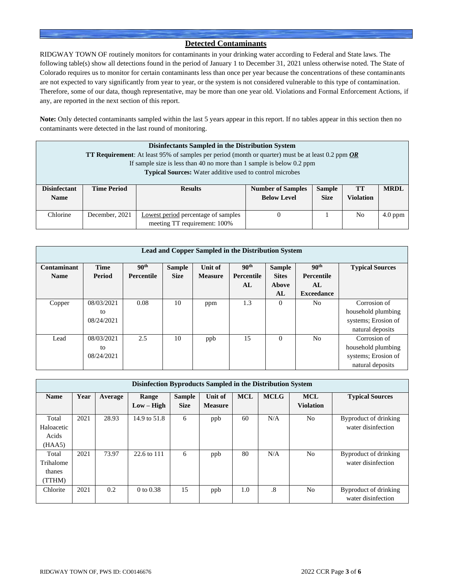### **Detected Contaminants**

RIDGWAY TOWN OF routinely monitors for contaminants in your drinking water according to Federal and State laws. The following table(s) show all detections found in the period of January 1 to December 31, 2021 unless otherwise noted. The State of Colorado requires us to monitor for certain contaminants less than once per year because the concentrations of these contaminants are not expected to vary significantly from year to year, or the system is not considered vulnerable to this type of contamination. Therefore, some of our data, though representative, may be more than one year old. Violations and Formal Enforcement Actions, if any, are reported in the next section of this report.

**Note:** Only detected contaminants sampled within the last 5 years appear in this report. If no tables appear in this section then no contaminants were detected in the last round of monitoring.

|                                                                                                                                                                                               | Disinfectants Sampled in the Distribution System<br><b>TT Requirement:</b> At least 95% of samples per period (month or quarter) must be at least 0.2 ppm OR<br>If sample size is less than 40 no more than 1 sample is below 0.2 ppm<br><b>Typical Sources:</b> Water additive used to control microbes |                                                                     |  |  |    |             |  |  |
|-----------------------------------------------------------------------------------------------------------------------------------------------------------------------------------------------|----------------------------------------------------------------------------------------------------------------------------------------------------------------------------------------------------------------------------------------------------------------------------------------------------------|---------------------------------------------------------------------|--|--|----|-------------|--|--|
| <b>Sample</b><br><b>Disinfectant</b><br><b>TT</b><br><b>Time Period</b><br><b>Number of Samples</b><br><b>Results</b><br><b>Below Level</b><br><b>Violation</b><br><b>Size</b><br><b>Name</b> |                                                                                                                                                                                                                                                                                                          |                                                                     |  |  |    | <b>MRDL</b> |  |  |
| Chlorine                                                                                                                                                                                      | December, 2021                                                                                                                                                                                                                                                                                           | Lowest period percentage of samples<br>meeting TT requirement: 100% |  |  | No | $4.0$ ppm   |  |  |

| Lead and Copper Sampled in the Distribution System |               |                   |               |                |                  |               |                   |                        |  |
|----------------------------------------------------|---------------|-------------------|---------------|----------------|------------------|---------------|-------------------|------------------------|--|
| Contaminant                                        | <b>Time</b>   | 90 <sup>th</sup>  | <b>Sample</b> | Unit of        | 90 <sup>th</sup> | <b>Sample</b> | 90 <sup>th</sup>  | <b>Typical Sources</b> |  |
| <b>Name</b>                                        | <b>Period</b> | <b>Percentile</b> | <b>Size</b>   | <b>Measure</b> | Percentile       | <b>Sites</b>  | <b>Percentile</b> |                        |  |
|                                                    |               |                   |               |                | AL               | Above         | AL                |                        |  |
|                                                    |               |                   |               |                |                  | AL            | <b>Exceedance</b> |                        |  |
| Copper                                             | 08/03/2021    | 0.08              | 10            | ppm            | 1.3              | 0             | N <sub>0</sub>    | Corrosion of           |  |
|                                                    | to            |                   |               |                |                  |               |                   | household plumbing     |  |
|                                                    | 08/24/2021    |                   |               |                |                  |               |                   | systems; Erosion of    |  |
|                                                    |               |                   |               |                |                  |               |                   | natural deposits       |  |
| Lead                                               | 08/03/2021    | 2.5               | 10            | ppb            | 15               | $\theta$      | N <sub>0</sub>    | Corrosion of           |  |
|                                                    | to            |                   |               |                |                  |               |                   | household plumbing     |  |
|                                                    | 08/24/2021    |                   |               |                |                  |               |                   | systems; Erosion of    |  |
|                                                    |               |                   |               |                |                  |               |                   | natural deposits       |  |

| Disinfection Byproducts Sampled in the Distribution System |      |         |                       |                              |                                  |            |             |                                |                                             |  |
|------------------------------------------------------------|------|---------|-----------------------|------------------------------|----------------------------------|------------|-------------|--------------------------------|---------------------------------------------|--|
| <b>Name</b>                                                | Year | Average | Range<br>$Low - High$ | <b>Sample</b><br><b>Size</b> | <b>Unit of</b><br><b>Measure</b> | <b>MCL</b> | <b>MCLG</b> | <b>MCL</b><br><b>Violation</b> | <b>Typical Sources</b>                      |  |
| Total<br>Haloacetic<br>Acids<br>(HAA5)                     | 2021 | 28.93   | 14.9 to 51.8          | 6                            | ppb                              | 60         | N/A         | N <sub>o</sub>                 | Byproduct of drinking<br>water disinfection |  |
| Total<br>Trihalome<br>thanes<br>(TTHM)                     | 2021 | 73.97   | 22.6 to 111           | 6                            | ppb                              | 80         | N/A         | N <sub>o</sub>                 | Byproduct of drinking<br>water disinfection |  |
| Chlorite                                                   | 2021 | 0.2     | 0 to $0.38$           | 15                           | ppb                              | 1.0        | .8          | N <sub>o</sub>                 | Byproduct of drinking<br>water disinfection |  |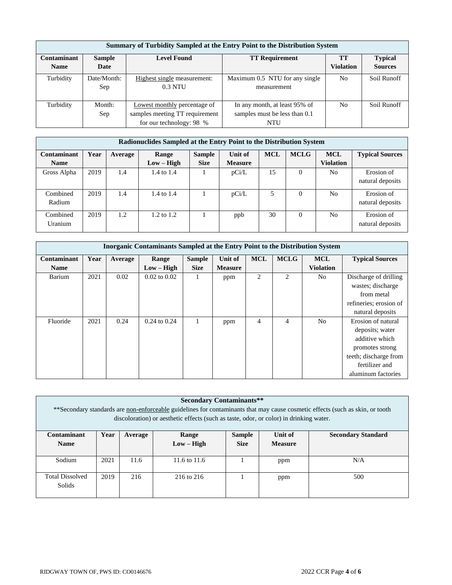|                    | Summary of Turbidity Sampled at the Entry Point to the Distribution System |                                |                                |                  |                |  |  |  |  |  |
|--------------------|----------------------------------------------------------------------------|--------------------------------|--------------------------------|------------------|----------------|--|--|--|--|--|
| <b>Contaminant</b> | <b>Level Found</b><br><b>TT Requirement</b><br><b>Sample</b>               |                                |                                |                  |                |  |  |  |  |  |
| <b>Name</b>        | Date                                                                       |                                |                                | <b>Violation</b> | <b>Sources</b> |  |  |  |  |  |
| Turbidity          | Date/Month:                                                                | Highest single measurement:    | Maximum 0.5 NTU for any single | N <sub>o</sub>   | Soil Runoff    |  |  |  |  |  |
|                    | Sep                                                                        | $0.3$ NTU                      | measurement                    |                  |                |  |  |  |  |  |
| Turbidity          | Month:                                                                     | Lowest monthly percentage of   | In any month, at least 95% of  | N <sub>0</sub>   | Soil Runoff    |  |  |  |  |  |
|                    | Sep                                                                        | samples meeting TT requirement | samples must be less than 0.1  |                  |                |  |  |  |  |  |
|                    |                                                                            | for our technology: 98 %       | NTU                            |                  |                |  |  |  |  |  |

|                    | Radionuclides Sampled at the Entry Point to the Distribution System |         |                       |               |                |            |             |                  |                        |  |  |
|--------------------|---------------------------------------------------------------------|---------|-----------------------|---------------|----------------|------------|-------------|------------------|------------------------|--|--|
| <b>Contaminant</b> | Year                                                                | Average | <b>Range</b>          | <b>Sample</b> | Unit of        | <b>MCL</b> | <b>MCLG</b> | <b>MCL</b>       | <b>Typical Sources</b> |  |  |
| <b>Name</b>        |                                                                     |         | $Low - High$          | <b>Size</b>   | <b>Measure</b> |            |             | <b>Violation</b> |                        |  |  |
| Gross Alpha        | 2019                                                                | 1.4     | 1.4 to 1.4            |               | pCi/L          | 15         | $\Omega$    | No               | Erosion of             |  |  |
|                    |                                                                     |         |                       |               |                |            |             |                  | natural deposits       |  |  |
| Combined           | 2019                                                                | 1.4     | 1.4 to 1.4            |               | pCi/L          | 5          | $\Omega$    | No               | Erosion of             |  |  |
| Radium             |                                                                     |         |                       |               |                |            |             |                  | natural deposits       |  |  |
| Combined           | 2019                                                                | 1.2     | $1.2 \text{ to } 1.2$ |               | ppb            | 30         | $\Omega$    | No               | Erosion of             |  |  |
| Uranium            |                                                                     |         |                       |               |                |            |             |                  | natural deposits       |  |  |

| <b>Inorganic Contaminants Sampled at the Entry Point to the Distribution System</b> |      |         |                  |               |                |            |                |                  |                        |  |
|-------------------------------------------------------------------------------------|------|---------|------------------|---------------|----------------|------------|----------------|------------------|------------------------|--|
| Contaminant                                                                         | Year | Average | Range            | <b>Sample</b> | Unit of        | <b>MCL</b> | <b>MCLG</b>    | <b>MCL</b>       | <b>Typical Sources</b> |  |
| <b>Name</b>                                                                         |      |         | $Low - High$     | <b>Size</b>   | <b>Measure</b> |            |                | <b>Violation</b> |                        |  |
| Barium                                                                              | 2021 | 0.02    | $0.02$ to $0.02$ | -1            | ppm            | 2          | 2              | N <sub>0</sub>   | Discharge of drilling  |  |
|                                                                                     |      |         |                  |               |                |            |                |                  | wastes; discharge      |  |
|                                                                                     |      |         |                  |               |                |            |                |                  | from metal             |  |
|                                                                                     |      |         |                  |               |                |            |                |                  | refineries; erosion of |  |
|                                                                                     |      |         |                  |               |                |            |                |                  | natural deposits       |  |
| Fluoride                                                                            | 2021 | 0.24    | $0.24$ to $0.24$ |               | ppm            | 4          | $\overline{4}$ | N <sub>0</sub>   | Erosion of natural     |  |
|                                                                                     |      |         |                  |               |                |            |                |                  | deposits; water        |  |
|                                                                                     |      |         |                  |               |                |            |                |                  | additive which         |  |
|                                                                                     |      |         |                  |               |                |            |                |                  | promotes strong        |  |
|                                                                                     |      |         |                  |               |                |            |                |                  | teeth; discharge from  |  |
|                                                                                     |      |         |                  |               |                |            |                |                  | fertilizer and         |  |
|                                                                                     |      |         |                  |               |                |            |                |                  | aluminum factories     |  |

| <b>Secondary Contaminants**</b><br>**Secondary standards are non-enforceable guidelines for contaminants that may cause cosmetic effects (such as skin, or tooth<br>discoloration) or aesthetic effects (such as taste, odor, or color) in drinking water. |      |         |              |               |                |                           |  |
|------------------------------------------------------------------------------------------------------------------------------------------------------------------------------------------------------------------------------------------------------------|------|---------|--------------|---------------|----------------|---------------------------|--|
| Contaminant                                                                                                                                                                                                                                                | Year | Average | Range        | <b>Sample</b> | Unit of        | <b>Secondary Standard</b> |  |
| <b>Name</b>                                                                                                                                                                                                                                                |      |         | $Low - High$ | <b>Size</b>   | <b>Measure</b> |                           |  |
| Sodium                                                                                                                                                                                                                                                     | 2021 | 11.6    | 11.6 to 11.6 |               | ppm            | N/A                       |  |
| <b>Total Dissolved</b><br>Solids                                                                                                                                                                                                                           | 2019 | 216     | 216 to 216   |               | ppm            | 500                       |  |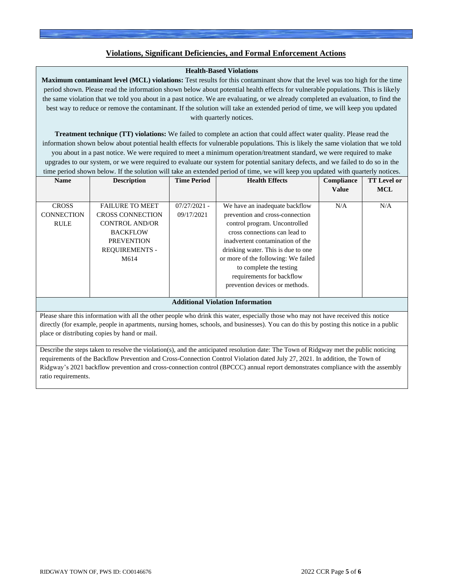## **Violations, Significant Deficiencies, and Formal Enforcement Actions**

### **Health-Based Violations**

**Maximum contaminant level (MCL) violations:** Test results for this contaminant show that the level was too high for the time period shown. Please read the information shown below about potential health effects for vulnerable populations. This is likely the same violation that we told you about in a past notice. We are evaluating, or we already completed an evaluation, to find the best way to reduce or remove the contaminant. If the solution will take an extended period of time, we will keep you updated with quarterly notices.

**Treatment technique (TT) violations:** We failed to complete an action that could affect water quality. Please read the information shown below about potential health effects for vulnerable populations. This is likely the same violation that we told you about in a past notice. We were required to meet a minimum operation/treatment standard, we were required to make upgrades to our system, or we were required to evaluate our system for potential sanitary defects, and we failed to do so in the time period shown below. If the solution will take an extended period of time, we will keep you updated with quarterly notices.

| <b>Name</b>                                      | <b>Description</b>                                                                                                                                  | <b>Time Period</b>           | <b>Health Effects</b>                                                                                                                                                                                                                                                                                                                          | Compliance<br><b>Value</b> | <b>TT</b> Level or<br><b>MCL</b> |
|--------------------------------------------------|-----------------------------------------------------------------------------------------------------------------------------------------------------|------------------------------|------------------------------------------------------------------------------------------------------------------------------------------------------------------------------------------------------------------------------------------------------------------------------------------------------------------------------------------------|----------------------------|----------------------------------|
| <b>CROSS</b><br><b>CONNECTION</b><br><b>RULE</b> | <b>FAILURE TO MEET</b><br><b>CROSS CONNECTION</b><br><b>CONTROL AND/OR</b><br><b>BACKFLOW</b><br><b>PREVENTION</b><br><b>REQUIREMENTS -</b><br>M614 | $07/27/2021 -$<br>09/17/2021 | We have an inadequate backflow<br>prevention and cross-connection<br>control program. Uncontrolled<br>cross connections can lead to<br>inadvertent contamination of the<br>drinking water. This is due to one<br>or more of the following: We failed<br>to complete the testing<br>requirements for backflow<br>prevention devices or methods. | N/A                        | N/A                              |
|                                                  |                                                                                                                                                     |                              | <b>Additional Violation Information</b>                                                                                                                                                                                                                                                                                                        |                            |                                  |

Please share this information with all the other people who drink this water, especially those who may not have received this notice directly (for example, people in apartments, nursing homes, schools, and businesses). You can do this by posting this notice in a public place or distributing copies by hand or mail.

Describe the steps taken to resolve the violation(s), and the anticipated resolution date: The Town of Ridgway met the public noticing requirements of the Backflow Prevention and Cross-Connection Control Violation dated July 27, 2021. In addition, the Town of Ridgway's 2021 backflow prevention and cross-connection control (BPCCC) annual report demonstrates compliance with the assembly ratio requirements.